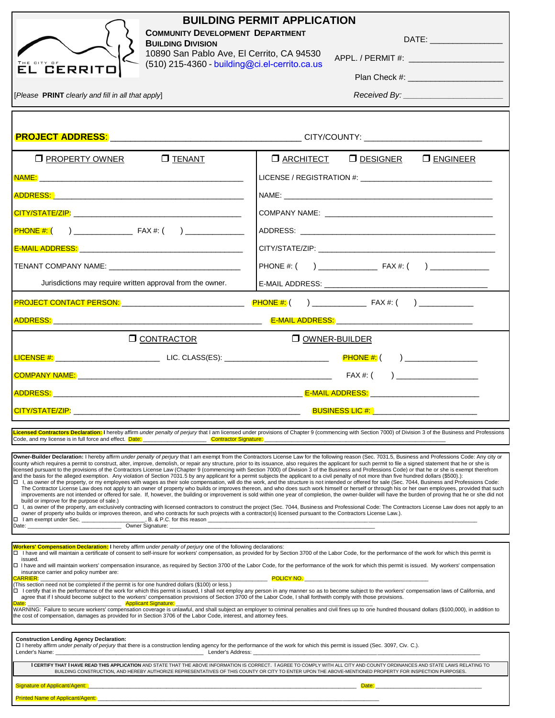| <b>BUILDING PERMIT APPLICATION</b><br><b>COMMUNITY DEVELOPMENT DEPARTMENT</b><br><b>BUILDING DIVISION</b><br>10890 San Pablo Ave, El Cerrito, CA 94530<br>(510) 215-4360 - building@ci.el-cerrito.ca.us<br><b>EL GERRITO</b>                                                                                                                                                                                                                                                                                                                                                                                                                                                                                                                                                                                                                                                                                                                                                                                                                                                                                                                                                                                                                                                                                                                                                                                                                                                           |                                                                                                                                                                                                                                                                                                                                                                                                                                                                                                                                                                                                                                                                                                                                                                                                                                            |  |  |  |
|----------------------------------------------------------------------------------------------------------------------------------------------------------------------------------------------------------------------------------------------------------------------------------------------------------------------------------------------------------------------------------------------------------------------------------------------------------------------------------------------------------------------------------------------------------------------------------------------------------------------------------------------------------------------------------------------------------------------------------------------------------------------------------------------------------------------------------------------------------------------------------------------------------------------------------------------------------------------------------------------------------------------------------------------------------------------------------------------------------------------------------------------------------------------------------------------------------------------------------------------------------------------------------------------------------------------------------------------------------------------------------------------------------------------------------------------------------------------------------------|--------------------------------------------------------------------------------------------------------------------------------------------------------------------------------------------------------------------------------------------------------------------------------------------------------------------------------------------------------------------------------------------------------------------------------------------------------------------------------------------------------------------------------------------------------------------------------------------------------------------------------------------------------------------------------------------------------------------------------------------------------------------------------------------------------------------------------------------|--|--|--|
| [Please PRINT clearly and fill in all that apply]                                                                                                                                                                                                                                                                                                                                                                                                                                                                                                                                                                                                                                                                                                                                                                                                                                                                                                                                                                                                                                                                                                                                                                                                                                                                                                                                                                                                                                      |                                                                                                                                                                                                                                                                                                                                                                                                                                                                                                                                                                                                                                                                                                                                                                                                                                            |  |  |  |
|                                                                                                                                                                                                                                                                                                                                                                                                                                                                                                                                                                                                                                                                                                                                                                                                                                                                                                                                                                                                                                                                                                                                                                                                                                                                                                                                                                                                                                                                                        |                                                                                                                                                                                                                                                                                                                                                                                                                                                                                                                                                                                                                                                                                                                                                                                                                                            |  |  |  |
| <b>O</b> PROPERTY OWNER<br>$\square$ TENANT                                                                                                                                                                                                                                                                                                                                                                                                                                                                                                                                                                                                                                                                                                                                                                                                                                                                                                                                                                                                                                                                                                                                                                                                                                                                                                                                                                                                                                            | <b>O ARCHITECT O DESIGNER O ENGINEER</b>                                                                                                                                                                                                                                                                                                                                                                                                                                                                                                                                                                                                                                                                                                                                                                                                   |  |  |  |
|                                                                                                                                                                                                                                                                                                                                                                                                                                                                                                                                                                                                                                                                                                                                                                                                                                                                                                                                                                                                                                                                                                                                                                                                                                                                                                                                                                                                                                                                                        |                                                                                                                                                                                                                                                                                                                                                                                                                                                                                                                                                                                                                                                                                                                                                                                                                                            |  |  |  |
|                                                                                                                                                                                                                                                                                                                                                                                                                                                                                                                                                                                                                                                                                                                                                                                                                                                                                                                                                                                                                                                                                                                                                                                                                                                                                                                                                                                                                                                                                        |                                                                                                                                                                                                                                                                                                                                                                                                                                                                                                                                                                                                                                                                                                                                                                                                                                            |  |  |  |
|                                                                                                                                                                                                                                                                                                                                                                                                                                                                                                                                                                                                                                                                                                                                                                                                                                                                                                                                                                                                                                                                                                                                                                                                                                                                                                                                                                                                                                                                                        |                                                                                                                                                                                                                                                                                                                                                                                                                                                                                                                                                                                                                                                                                                                                                                                                                                            |  |  |  |
|                                                                                                                                                                                                                                                                                                                                                                                                                                                                                                                                                                                                                                                                                                                                                                                                                                                                                                                                                                                                                                                                                                                                                                                                                                                                                                                                                                                                                                                                                        |                                                                                                                                                                                                                                                                                                                                                                                                                                                                                                                                                                                                                                                                                                                                                                                                                                            |  |  |  |
|                                                                                                                                                                                                                                                                                                                                                                                                                                                                                                                                                                                                                                                                                                                                                                                                                                                                                                                                                                                                                                                                                                                                                                                                                                                                                                                                                                                                                                                                                        |                                                                                                                                                                                                                                                                                                                                                                                                                                                                                                                                                                                                                                                                                                                                                                                                                                            |  |  |  |
|                                                                                                                                                                                                                                                                                                                                                                                                                                                                                                                                                                                                                                                                                                                                                                                                                                                                                                                                                                                                                                                                                                                                                                                                                                                                                                                                                                                                                                                                                        |                                                                                                                                                                                                                                                                                                                                                                                                                                                                                                                                                                                                                                                                                                                                                                                                                                            |  |  |  |
| Jurisdictions may require written approval from the owner.                                                                                                                                                                                                                                                                                                                                                                                                                                                                                                                                                                                                                                                                                                                                                                                                                                                                                                                                                                                                                                                                                                                                                                                                                                                                                                                                                                                                                             |                                                                                                                                                                                                                                                                                                                                                                                                                                                                                                                                                                                                                                                                                                                                                                                                                                            |  |  |  |
|                                                                                                                                                                                                                                                                                                                                                                                                                                                                                                                                                                                                                                                                                                                                                                                                                                                                                                                                                                                                                                                                                                                                                                                                                                                                                                                                                                                                                                                                                        |                                                                                                                                                                                                                                                                                                                                                                                                                                                                                                                                                                                                                                                                                                                                                                                                                                            |  |  |  |
|                                                                                                                                                                                                                                                                                                                                                                                                                                                                                                                                                                                                                                                                                                                                                                                                                                                                                                                                                                                                                                                                                                                                                                                                                                                                                                                                                                                                                                                                                        |                                                                                                                                                                                                                                                                                                                                                                                                                                                                                                                                                                                                                                                                                                                                                                                                                                            |  |  |  |
| <b>O CONTRACTOR</b>                                                                                                                                                                                                                                                                                                                                                                                                                                                                                                                                                                                                                                                                                                                                                                                                                                                                                                                                                                                                                                                                                                                                                                                                                                                                                                                                                                                                                                                                    | O OWNER-BUILDER                                                                                                                                                                                                                                                                                                                                                                                                                                                                                                                                                                                                                                                                                                                                                                                                                            |  |  |  |
|                                                                                                                                                                                                                                                                                                                                                                                                                                                                                                                                                                                                                                                                                                                                                                                                                                                                                                                                                                                                                                                                                                                                                                                                                                                                                                                                                                                                                                                                                        |                                                                                                                                                                                                                                                                                                                                                                                                                                                                                                                                                                                                                                                                                                                                                                                                                                            |  |  |  |
|                                                                                                                                                                                                                                                                                                                                                                                                                                                                                                                                                                                                                                                                                                                                                                                                                                                                                                                                                                                                                                                                                                                                                                                                                                                                                                                                                                                                                                                                                        |                                                                                                                                                                                                                                                                                                                                                                                                                                                                                                                                                                                                                                                                                                                                                                                                                                            |  |  |  |
|                                                                                                                                                                                                                                                                                                                                                                                                                                                                                                                                                                                                                                                                                                                                                                                                                                                                                                                                                                                                                                                                                                                                                                                                                                                                                                                                                                                                                                                                                        |                                                                                                                                                                                                                                                                                                                                                                                                                                                                                                                                                                                                                                                                                                                                                                                                                                            |  |  |  |
| المستخدم المستخدم المستخدم المستخدم المستخدم المستخدم المستخدم المستخدم المستخدم المستخدم المستخدم المستخدم المستخدم                                                                                                                                                                                                                                                                                                                                                                                                                                                                                                                                                                                                                                                                                                                                                                                                                                                                                                                                                                                                                                                                                                                                                                                                                                                                                                                                                                   |                                                                                                                                                                                                                                                                                                                                                                                                                                                                                                                                                                                                                                                                                                                                                                                                                                            |  |  |  |
| Code, and my license is in full force and effect. Date: __________________________Contractor Signature:                                                                                                                                                                                                                                                                                                                                                                                                                                                                                                                                                                                                                                                                                                                                                                                                                                                                                                                                                                                                                                                                                                                                                                                                                                                                                                                                                                                | Licensed Contractors Declaration: I hereby affirm under penalty of perjury that I am licensed under provisions of Chapter 9 (commencing with Section 7000) of Division 3 of the Business and Professions                                                                                                                                                                                                                                                                                                                                                                                                                                                                                                                                                                                                                                   |  |  |  |
| county which requires a permit to construct, alter, improve, demolish, or repair any structure, prior to its issuance, also requires the applicant for such permit to file a signed statement that he or she is<br>licensed pursuant to the provisions of the Contractors License Law (Chapter 9 (commencing with Section 7000) of Division 3 of the Business and Professions Code) or that he or she is exempt therefrom<br>and the basis for the alleged exemption. Any violation of Section 7031.5 by any applicant for a permit subjects the applicant to a civil penalty of not more than five hundred dollars (\$500).):<br>□ I, as owner of the property, or my employees with wages as their sole compensation, will do the work, and the structure is not intended or offered for sale (Sec. 7044, Business and Professions Code:<br>build or improve for the purpose of sale.)<br>owner of property who builds or improves thereon, and who contracts for such projects with a contractor(s) licensed pursuant to the Contractors License Law.).<br>I I am exempt under Sec.<br>Owner Signature: ____<br>Date: the contract of the contract of the contract of the contract of the contract of the contract of the contract of the contract of the contract of the contract of the contract of the contract of the contract of the cont                                                                                                                                      | Owner-Builder Declaration: I hereby affirm under penalty of perjury that I am exempt from the Contractors License Law for the following reason (Sec. 7031.5, Business and Professions Code: Any city or<br>The Contractor License Law does not apply to an owner of property who builds or improves thereon, and who does such work himself or herself or through his or her own employees, provided that such<br>improvements are not intended or offered for sale. If, however, the building or improvement is sold within one year of completion, the owner-builder will have the burden of proving that he or she did not<br>□ I, as owner of the property, am exclusively contracting with licensed contractors to construct the project (Sec. 7044, Business and Professional Code: The Contractors License Law does not apply to an |  |  |  |
| Workers' Compensation Declaration: I hereby affirm under penalty of perjury one of the following declarations:<br>□ I have and will maintain a certificate of consent to self-insure for workers' compensation, as provided for by Section 3700 of the Labor Code, for the performance of the work for which this permit is<br>issued.<br>□ I have and will maintain workers' compensation insurance, as required by Section 3700 of the Labor Code, for the performance of the work for which this permit is issued. My workers' compensation<br>insurance carrier and policy number are:<br><b>POLICY NO.</b><br><b>CARRIER:</b><br>(This section need not be completed if the permit is for one hundred dollars (\$100) or less.)<br>□ I certify that in the performance of the work for which this permit is issued, I shall not employ any person in any manner so as to become subject to the workers' compensation laws of California, and<br>agree that if I should become subject to the workers' compensation provisions of Section 3700 of the Labor Code, I shall forthwith comply with those provisions.<br><b>Applicant Signature:</b><br>WARNING: Failure to secure workers' compensation coverage is unlawful, and shall subject an employer to criminal penalties and civil fines up to one hundred thousand dollars (\$100,000), in addition to<br>the cost of compensation, damages as provided for in Section 3706 of the Labor Code, interest, and attorney fees. |                                                                                                                                                                                                                                                                                                                                                                                                                                                                                                                                                                                                                                                                                                                                                                                                                                            |  |  |  |
| <b>Construction Lending Agency Declaration:</b><br>[10] I hereby affirm under penalty of perjury that there is a construction lending agency for the performance of the work for which this permit is issued (Sec. 3097, Civ. C.).<br>Lender's Name:<br><u>Lender's Address:</u>                                                                                                                                                                                                                                                                                                                                                                                                                                                                                                                                                                                                                                                                                                                                                                                                                                                                                                                                                                                                                                                                                                                                                                                                       |                                                                                                                                                                                                                                                                                                                                                                                                                                                                                                                                                                                                                                                                                                                                                                                                                                            |  |  |  |
|                                                                                                                                                                                                                                                                                                                                                                                                                                                                                                                                                                                                                                                                                                                                                                                                                                                                                                                                                                                                                                                                                                                                                                                                                                                                                                                                                                                                                                                                                        | I CERTIFY THAT I HAVE READ THIS APPLICATION AND STATE THAT THE ABOVE INFORMATION IS CORRECT. I AGREE TO COMPLY WITH ALL CITY AND COUNTY ORDINANCES AND STATE LAWS RELATING TO<br>BUILDING CONSTRUCTION, AND HEREBY AUTHORIZE REPRESENTATIVES OF THIS COUNTY OR CITY TO ENTER UPON THE ABOVE-MENTIONED PROPERTY FOR INSPECTION PURPOSES.                                                                                                                                                                                                                                                                                                                                                                                                                                                                                                    |  |  |  |
| Signature of Applicant/Agent:<br><b>Printed Name of Applicant/Agent:</b>                                                                                                                                                                                                                                                                                                                                                                                                                                                                                                                                                                                                                                                                                                                                                                                                                                                                                                                                                                                                                                                                                                                                                                                                                                                                                                                                                                                                               | Date:                                                                                                                                                                                                                                                                                                                                                                                                                                                                                                                                                                                                                                                                                                                                                                                                                                      |  |  |  |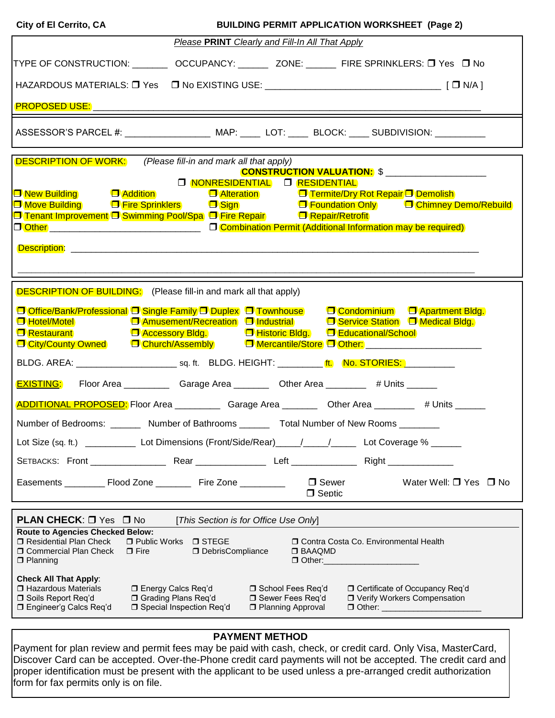| City of El Cerrito, CA                                                                                         | <b>BUILDING PERMIT APPLICATION WORKSHEET (Page 2)</b> |                                           |                                  |                                                                        |
|----------------------------------------------------------------------------------------------------------------|-------------------------------------------------------|-------------------------------------------|----------------------------------|------------------------------------------------------------------------|
|                                                                                                                | Please PRINT Clearly and Fill-In All That Apply       |                                           |                                  |                                                                        |
| TYPE OF CONSTRUCTION: __________ OCCUPANCY: ________ ZONE: _______ FIRE SPRINKLERS: □ Yes □ No                 |                                                       |                                           |                                  |                                                                        |
| HAZARDOUS MATERIALS: □ Yes □ No EXISTING USE: __________________________________ [ □ N/A ]                     |                                                       |                                           |                                  |                                                                        |
|                                                                                                                |                                                       |                                           |                                  |                                                                        |
|                                                                                                                |                                                       |                                           |                                  |                                                                        |
| <b>DESCRIPTION OF WORK:</b>                                                                                    | (Please fill-in and mark all that apply)              |                                           |                                  | <b>CONSTRUCTION VALUATION: \$</b> ___________________                  |
|                                                                                                                |                                                       | O NONRESIDENTIAL O RESIDENTIAL            |                                  |                                                                        |
| <b>O</b> New Building <b>D</b> Addition                                                                        |                                                       | <b>D</b> Alteration                       |                                  | <b>D</b> Termite/Dry Rot Repair D Demolish                             |
| <b>□ Move Building</b>                                                                                         |                                                       |                                           |                                  | □ Fire Sprinklers □ Sign Sign □ Foundation Only □ Chimney Demo/Rebuild |
| <b>D</b> Tenant Improvement D Swimming Pool/Spa D Fire Repair <b>D</b> Repair/Retrofit                         |                                                       |                                           |                                  |                                                                        |
| □ Other _________________________________ □ Combination Permit (Additional Information may be required)        |                                                       |                                           |                                  |                                                                        |
|                                                                                                                |                                                       |                                           |                                  |                                                                        |
|                                                                                                                |                                                       |                                           |                                  |                                                                        |
|                                                                                                                |                                                       |                                           |                                  |                                                                        |
|                                                                                                                |                                                       |                                           |                                  |                                                                        |
| <b>DESCRIPTION OF BUILDING:</b> (Please fill-in and mark all that apply)                                       |                                                       |                                           |                                  |                                                                        |
|                                                                                                                |                                                       |                                           |                                  |                                                                        |
| <b>O Office/Bank/Professional O Single Family O Duplex O Townhouse C Condominium O Apartment Bldg.</b>         |                                                       |                                           |                                  |                                                                        |
| □ Hotel/Motel       □ Amusement/Recreation □ Industrial     □ Service Station □ Medical Bldg.                  |                                                       |                                           |                                  |                                                                        |
| □ Restaurant       □ Accessory Bldg.     □ Historic Bldg.   □ Educational/School                               |                                                       |                                           |                                  |                                                                        |
| □ City/County Owned □ Church/Assembly □ Mercantile/Store □ Other: _____________________                        |                                                       |                                           |                                  |                                                                        |
| BLDG. AREA: _____________________________ sq. ft. BLDG. HEIGHT: __________ ft. No. STORIES: _________          |                                                       |                                           |                                  |                                                                        |
| <b>EXISTING:</b> Floor Area ______________Garage Area ___________Other Area __________ # Units _______         |                                                       |                                           |                                  |                                                                        |
| ADDITIONAL PROPOSED: Floor Area _______________Garage Area ____________Other Area ____________ # Units _______ |                                                       |                                           |                                  |                                                                        |
| Number of Bedrooms:                                                                                            | Number of Bathrooms ______                            |                                           | <b>Total Number of New Rooms</b> |                                                                        |
| Lot Size (sq. ft.) __________ Lot Dimensions (Front/Side/Rear)_____/_____/______ Lot Coverage % _____          |                                                       |                                           |                                  |                                                                        |
|                                                                                                                |                                                       |                                           |                                  |                                                                        |
|                                                                                                                |                                                       |                                           | □ Sewer                          | Water Well: $\Box$ Yes $\Box$ No                                       |
|                                                                                                                |                                                       |                                           | $\Box$ Septic                    |                                                                        |
|                                                                                                                |                                                       |                                           |                                  |                                                                        |
| <b>PLAN CHECK: O Yes O No</b>                                                                                  | [This Section is for Office Use Only]                 |                                           |                                  |                                                                        |
| <b>Route to Agencies Checked Below:</b>                                                                        |                                                       |                                           |                                  |                                                                        |
| Residential Plan Check                                                                                         | □ Public Works □ STEGE                                |                                           |                                  | O Contra Costa Co. Environmental Health                                |
| <b>D</b> Commercial Plan Check<br>$\Box$ Fire                                                                  | DebrisCompliance                                      |                                           | $\Box$ BAAQMD                    |                                                                        |
|                                                                                                                |                                                       |                                           |                                  |                                                                        |
| $\Box$ Planning                                                                                                |                                                       | □ Other:                                  |                                  |                                                                        |
|                                                                                                                |                                                       |                                           |                                  |                                                                        |
| <b>Check All That Apply:</b>                                                                                   |                                                       |                                           |                                  |                                                                        |
| □ Hazardous Materials                                                                                          | □ Energy Calcs Req'd                                  | □ School Fees Req'd                       |                                  | □ Certificate of Occupancy Req'd                                       |
| □ Soils Report Req'd<br>□ Engineer'g Calcs Req'd                                                               | □ Grading Plans Req'd<br>□ Special Inspection Req'd   | □ Sewer Fees Req'd<br>□ Planning Approval |                                  | □ Verify Workers Compensation<br>□ Other: _____________________        |

## **PAYMENT METHOD**

Payment for plan review and permit fees may be paid with cash, check, or credit card. Only Visa, MasterCard, Discover Card can be accepted. Over-the-Phone credit card payments will not be accepted. The credit card and proper identification must be present with the applicant to be used unless a pre-arranged credit authorization form for fax permits only is on file.